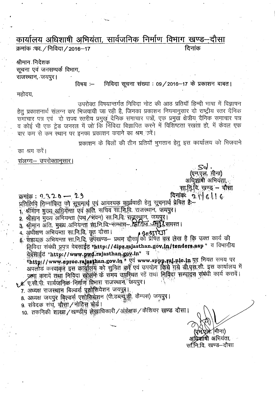## कार्यालय अधिशाषी अभियंता, सार्वजनिक निर्माण विभाग खण्ड—दौसा  $\frac{1}{2}$  क्रमांक :फा. / निविदा / 2016–17

श्रीमान निदेशक सूचना एवं जनसम्पर्क विभाग, राजस्थान, जयपुर।

**|विषय :— निविदा सूचना संख्या : 09/2016—17 के प्रकाशन बाबत |** 

महोदय,

.,

उपरोक्त विषयान्तर्गत निविदा नोट की आठ प्रतियॉ हिन्दी भाषा में विज्ञापन हेतु प्रकाशनार्थ संलग्न कर भिजवायी जा रही है, जिनका प्रकाशन नियमानुसार दो राष्ट्रीय स्तर दैनिक 'समाचार पत्र एवं ) दो राज्य स्तरीय प्रमुख दैनिक समाचार पत्रों, एक प्रमुख क्षेत्रीय दैनिक समाचार पत्र व कोई भी एक ट्रेड जनरल में जो कि निविदा विज्ञापित करने में विशिष्टता रखता हो, में केवल एक बार कम से कम स्थान पर इनका प्रकाशन कराने का श्रम करें।

प्रकाशन के बिलों की तीन प्रतियाँ भुगतान हेतु इस कार्यालय को भिजवाने

का श्रम करें।

संलग्न - उपरोक्तानुसार।

एम.एल. मीना) अधिशामी अभियंता. सा.नि.वि. खण्ड - वौसा

विनांकः २ । ६ । ६  $\pi$ H $\pi$ : 2320 - 29 प्रतिलिपि जिम्नांकित को सूचनार्थ एवं आवश्यक कार्यवाही हेतु सूचनार्थ प्रेषित है:-वालायात । गामरा ना अवता का नाटक निर्दित राजस्थान, जयपुर। 2. श्रीमान मुख्य अभियन्ता (पथ /भवन) सा.नि.वि. शृंजूस्थ्रान, जयपुर। 9. श्रीमांन अति. मुख्य अभियेन्ता झा.नि.वि. सम्माग- द्वितिय अपर्देश समस्त।

4. अधीक्षण अभियन्ता सा.नि.वि. वृत दौसा।  $g_{\parallel}$ हुरूरेज

निविदा संबंधी प्रपत्र वेबसाईट "http://dipr.rajasthan.gov.in/tenders.asp " व विभागीय वेब्रेसाईट "http://www.pwd.rajasthan.gov.in" व

"http://www.eproc.rajasthan.gov.in " gd www.sppp.raj.nic.in Hy नियत समय पर जनरान्ड न र मनार उसे गुल्लामा है। अन्य समय समुद्रेशत रहें तथा तिविद्या सम्पादन संबंधी कार्य करायें। ९ व. ए.सी.पी. सार्वजनिक निर्माण विभाग राजस्थाने, जयपुर।

7. अध्यक्ष राजस्थान बिल्डर्स पुर्शासियेशन जयपुर।

8. अध्यक्ष जयपुर बिल्डर्स एशोसिसेशन (पी.डब्ल्यू.डी. कैम्पस) जयपुर।

9. संवेदक संघ, दोसा / नोड़िस बोर्ड।

9. रायपम्/ रायु, आरंग/ गाड्डिय लेखाधिकारी/अंकेक्षक/कैशियर खण्ड दौसा।

(मीना) अधिर्याांषी अभियंता. सन्ति वि. खण्ड–दौसा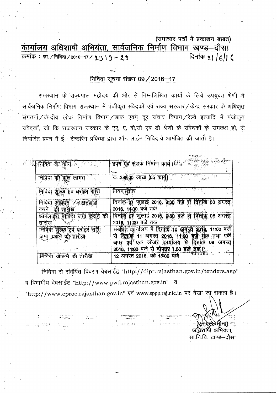(समाचार पत्रों में प्रकाशन बाबत)

<u>कार्यालय अधिशाषी अभियंता, सार्वजनिक निर्माण विभाग खण्ड–दौसा</u><br>क्रमांक : फा./निविदा/2016–17/ 1 3 | 9 - 2 9 दिनांक 1 | 6 | | 6  $\overline{p}$  **:** फा./ निविदा/2016-17/ 2.3 |  $\overline{y}$  - 2.3

## **PtFclCiI <sup>~</sup> <sup>~</sup> 09/2016-17**

राजस्थान के राज्यपाल महोदय की ओर से निम्नलिखित कार्यो के लिये उपयुक्त श्रेणी में सार्वजनिक निर्माण विभाग राजस्थान में पंजीकृत संवेदकों एवं राज्य सरकार  $\angle$ केन्द्र सरकार के अधिकृत संगठनों / केन्द्रीय लोक निर्माण विभाग / डाक एवम् दूर संचार विभाग / रेल्वे इत्यादि में पंजीकृत .<br>संवेदकों, जो कि राजस्थान सरकार के एए, ए, बी,सी एवं डी श्रेणी के संवेदकों के समकक्ष हो, से निर्धारित प्रपत्र में ई– टेन्डरिंग प्रकिया द्वारा ऑन लाईन निविदाये आमंत्रित की जाती है।

| का क्रीप के बाद                                              | एवं सडक निर्माण कार्य। <sup>क्रम</sup> ेल्हें स्<br>भवन<br>$\mathbf{v}_{\text{max}}$                                                                                                                                |
|--------------------------------------------------------------|---------------------------------------------------------------------------------------------------------------------------------------------------------------------------------------------------------------------|
| निविदा<br>ক্লা<br>लागत<br>্দুল                               | रू. 283.00 लाख<br>(०५ कासु                                                                                                                                                                                          |
| शुल्क एवं धरोह                                               | नियमानसीर                                                                                                                                                                                                           |
| निविदा<br>डाउनल<br>आवलन<br>की तारीख<br>करन                   | दिनांक <b>07 जुलाई 2018, 8:30 बज़े भ</b><br>08<br>2016, 11:00 बजे तक                                                                                                                                                |
| ऑनलाईन<br>की<br>निबिंदा जमा<br>तारीख                         | दित्तकि<br>दिनार्क़ 07 जुलाई 2016, 9:30 वर्ज से<br>2016, 11:00 बजे तक                                                                                                                                               |
| शुल्क एवं धरोहर<br>शशि<br>निर्विर्दी<br>जमा क्योंने की तारीख | बजे<br>स्ति<br>संबंधित कार्यालय में दिनांक 19<br>18, 11:00<br>आ<br>एकैं<br>से<br>11 अगस्त 2016, 11:00 बजे ब्रह्म तथा<br>दिताक<br>लोअर कार्या <b>लय मै</b><br>दित्ताक<br>प्रवृ <sup>ं</sup> एक<br>अगस्त<br>अपर<br>09 |
| निविदा खोलने को तारीख                                        | 2016, 11:00 बजे से दोपहर 1.00 बजे जेक़ हैं<br>$\mathcal{L}$<br>12 अगस्त 2016, को 15:00 बजे                                                                                                                          |

,  $\epsilon$  ,  $\epsilon$ , . 癌

---- -

निविदा से संबंधित विवरण वेबसाईट "http://dipr.rajasthan.gov.in/tenders.asp" व विभागीय वेबसाईट "http://www.pwd.rajasthan.gov.in" व ''http://www.eproc.rajasthan.gov.in'' -qcf www.sppp.raj.nic.in "CR <sup>~</sup> \JlT mrt <sup>I</sup> - .. ,-. ~"-i.':\_:::,.','~[.;- ..

'<..~:-."""".'~'""~ ." ,~ :, ':"'!'~."!

',' i-c,)

अधिशाणी अभियंता. सा.नि.वि. खण्ड—दौसा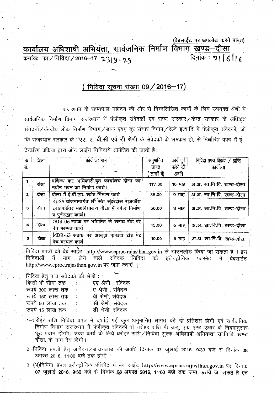(वेबसाईट पर अपलोड करने बाबत) कार्यालय अधिशाषी अभियंता, सार्वजनिक निर्माण विभाग खण्ड-दौसा क्रमांकः फा / निविदा / 2016–17 2319 - 29 दिनांक: 21 6 16

## (निविदा सूचना संख्या 09 / 2016-17)

राजस्थान के राज्यपाल महोदय की ओर से निम्नलिखित कार्यों के लिये उपयुक्त श्रेणी में सार्वजनिक निर्माण विभाग राजस्थान में पंजीकृत संवेदकों एवं राज्य संरकार / केन्द्र सरकार के अधिकृत संगठनों / केन्द्रीय लोक निर्माण विभाग / डाक एवम दूर संचार विभाग / रेल्वे इत्यादि में पंजीकृत संवेदकों, जो कि राजस्थान सरकार के "एए, ए, बी,सी एवं डी श्रेणी के संवेदकों के समकक्ष हो, से निर्धारित प्रपत्र में ई-टेन्डरिंग प्रक्रिया द्वारा ऑन लाईन निविदाये आमंत्रित की जाती है।

| ्रक्र     | जिला  | कार्य का नाम                                                                                                        | अनुमानित    | कार्य पूर्ण | निविदा प्रपत्र विक्रय / प्राप्ति |
|-----------|-------|---------------------------------------------------------------------------------------------------------------------|-------------|-------------|----------------------------------|
| सं.       |       |                                                                                                                     | लागत        | करने की     | कार्यालय                         |
|           |       | $\sim$                                                                                                              | लाखों में)  | अवधि        |                                  |
|           | दौसा  | वर्णिज्य कर अधिकारी,वृत कार्यालय दौसा का<br>नवीन भवन का निर्माण कार्य।                                              | 117.00      | 10 माह      | अ.अ. सा.नि.वि. खण्ड–दौसा         |
| $\cdot$ 2 | ्दोसा | दौसा में ई.वी.एम. स्टोर निर्माण कार्य                                                                               | 85.00       | ९ माह       | अ.अ. सा.नि.वि. खण्ड-दौसा         |
| з         | दौसा  | RUSA योजनान्तर्गत श्री संत सुंदरदास राजकीय<br>स्नातकोत्तर महाविद्यालय दौसा में नवीन निर्माण<br>व पुर्नउद्धार कार्य। | 56.00       | 8 माह       | अ.अ. सा.नि.वि. खण्ड-दौसा         |
| 4         | दोसा  | ODR-06 सड़क पर भांडारेज से सराय रोड पर<br>पेच मरम्मत कार्य                                                          | 15.00       |             | 6 माह   अ.अ. सा.नि.वि. खण्ड-दौसा |
| 5         | दोसा  | MDR-63 सडक पर आलूदा पापडदा रोड पर<br>पेच मरम्मत कार्य                                                               | T.<br>10.00 |             | 6 माह   अ.अ. सा.नि.वि. खण्ड-दौसा |

निविदा प्रपत्रों को वेब साईट http://www.eproc.rajasthan.gov.in से डाउनलोड किया जा सकता है । इन निविदाओं में भाग लेने वाले संवेदक निविदा को इलेक्ट्रोनिक फारमेट में वेबसाईट http://www.eproc.rajasthan.gov.in पर जमा कराएँ ।

निविदा हेतु पात्र संवेदको की श्रेणी : किसी भी सीमा तक एए श्रेणी संवेदक  $\sim$   $\sim$ 

| रूपये 300 लाख तक | ए श्रेणी संवेदक   |
|------------------|-------------------|
| रूपये 150 लाख तक | बी श्रेणी, संवेदक |
| रूपये 50 लाख तक  | सी श्रेणी, संवेदक |
| रूपये 15 लाख तक  | डी श्रेणी, संवेदक |
|                  |                   |

- 1—धरोहर राशि निविदा प्रपत्र में दर्शाई गई कूल अनुमानित लागत की दो प्रतिशत होगी एवं सार्वजनिक निर्माण विभाग राजस्थान में पंजीकृत संवेदकों से धरोहर राशि पी डब्यु एफ एण्ड एआर के नियमानुसार छूट प्रदान होगा। उक्त कार्य के लिये धरोहर राशि/निविदा शुल्क अधिशाषी अभियन्ता सा.नि.वि. खण्ड दौसा, के नाम देय होगी।
- 2—निविदा प्रपत्रों हेतु आवेदन ⁄ डाउनलोड की अवधि दिनांक 07 जुलाई 2016, 9:30 बजे से दिनांक 08 अगस्त 2016, 11:00 बजे तक होगी ।
- 3-(अ)निविदा प्रपत्र इलैक्ट्रोनिक फॉरमेट में बेव साईट http://www.eproc.rajasthan.gov.in पर दिनांक 07 जलाई 2016, 9:30 बजे से दिनांक 08 अगस्त 2016, 11:00 बजे तक जमा कराये जा सकते है एवं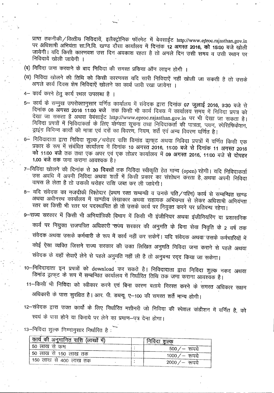प्राप्त तकनीकी / वित्तीय निविदायें, इलैक्ट्रोनिक फॉरमेट में बेवसाईट http://www.eproc.rajasthan.gov.in पर अधिशाषी अभियंता सा.नि.वि. खण्ड दौसा कार्यालय में दिनांक 12 अगस्त 2016, को 15:00 बजे खोली जायेगी। यदि किसी कारणवश उस दिन अवकाश रहता है तो अगले दिन उसी समय व उसी स्थान पर निविदायें खोली जायेगी ।

- (ब) निविदा जमा करवाने के बाद निविदा की समस्त प्रकिया ऑन लाइन होगी ।
- (स) निविदा खोलने की तिथि को किसी कारणवश यदि सारी निविदाएं नहीं खोली जा सकती है तो उसके अगले कार्य दिवस शेष निविदाऐं खोलने का कार्य जारी रखा जायेगा ।
- 4- कार्य करने हेतु कार्य स्थल उपलब्ध है ।

'.

- 5- कार्य के सम्मुख उपरोक्तानुसार वर्णित कार्यालय में संवेदक द्वारा दिनांक 07 जुलाई 2016, 9:30 बजे से दिनांक 08 अगस्त 2016 11:00 बजे तक किसी भी कार्य दिवस में कार्यालय समय में निविदा प्रपत्र को देखा जा सकता है अथवा वेबसाईट http://www.eproc.rajasthan.gov.in पर भी देखा जा सकता है। देखा जो सकता है अथवा वेबसाइट http://www.eproc.rajasthan.gov.in पर भी देखा जा सकता <del>;</del><br>निविदा प्रपत्रों में निविदाकर्ता के लिए योग्यता सूचना तथा निविदाकर्ता की पात्रता, प्लान, स्पेसिफिकेश न्राइंग विभिन्न कार्यों की मात्रा एवं दरों का विवरण, नियम, शर्ते एवं अन्य विवरण वर्णित है।
- 6- निविदादाता द्वारा निविदा शुल्क /धरोहर राशि डिमांड ड्राफ्ट अथवा निविदा प्रपत्रों में वर्णित किसी एक प्रकार के रूप में संबंधित कॉर्यालय में दिनांक 10 अगस्त 2016, 11:00 बजे से दिनांक 11 अगस्त 2016 को 11:00 बजे तक तथा एक अपर एवं एक लोअर कार्यालय में 09 अगस्त 2016, 11:00 बजे से दोपहर 1.00 बजे तक जमा कराना आवश्यक है।
- 7-निविंदा खोलने की दिनांक से 30 दिवसों तक निविदा स्वीकृति हेत मान्य (open) रहेगी। यदि निविदाकर्ता उस अवधि में अपनी निविदा अथवा शर्तो में किसी प्रकार का संशोधन करता है अथवा अपनी निविदा वापस ले लेता है तो उसकी धरोहर राशि जब्त कर ली जावेगी।
- 8- यदि संवेदक का नजदीकी रिश्तेदार (प्रथम रक्त सम्बन्धी व उनके पति / पत्नि) कार्य से सम्बन्धित खण्ड अथवा अधीनस्थ कार्यालय में खण्डीय लेखाकार अथवा सहायक अभियन्ता से लेकर अधिशाषी अभियन्ता रतर का किसी भी स्तर पर पदस्थापित हो तो उसके कार्य पर नियुक्त करने पर प्रतिबन्ध रहेगा।
- 9- राज्य सरकार में किसी भी अभियांत्रिकी विभाग में किसी भी इंजीनियर अथवा इंजीनियरिंग या प्रशासनिक <sup>~</sup> lR <sup>~</sup> xl\JjQ8m ~~ flxCfJlx cBT <sup>~</sup> \* ~ -wrr 'f.icJftl <sup>~</sup> <sup>2</sup> qrf Gcf) ~ 3l~ ~ CfJ+till'fl \* ~ 1l 'CfJ'l"lf <sup>~</sup> <sup>~</sup> <sup>~</sup> <sup>1</sup> <sup>~</sup> fi~~CfJ 3l~'~ CfJ+tilIRll'j <sup>B</sup> कोई ऐसा व्यक्ति जिसने राज्य सरकार की उक्त लिखित अनुमति निविदा जमा कराने से पहले अथवा संवेदक के यहॉ सेवाऐं लेने से पहले अनुमति नहीं ली है तो अनुबन्ध रद्द किया जा सकेगा।
- 10-निविदादाता इन प्रपत्रों को download कर सकते है। निविदादाता द्वारा निविदा शुल्क नकद अथवा डिमांड ड्राफ्ट के रूप में सम्बन्धित कार्यालय में निर्धारित तिथि तक जमा कराना आवश्यक है।
- 11-किसी भी निविदा को स्वीकार करने एवं बिना कारण बताये निरस्त करने के समस्त अधिकार सक्षम अधिकारी के पास सुरक्षित है। आर. पी. डब्ल्यू. ए-100 की समस्त शर्ते मान्य होगी।
- 12-संवेदक द्वारा उक्त कार्यों के लिए निर्धारित मशीनरी जो निविदा की स्पेशल कंडीशन में वर्णित है, को स्वयं के पास होने या किराये पर लेने का प्रमाण-पत्र देना होगा।

13-निविदा शुल्क निम्नानुसार निर्धारित है: ``

| , कार्य की अनुमानित राशि (लाखों में) | निविदा शल्क      |
|--------------------------------------|------------------|
| 50 लाख से कम                         | 500 $/$ — रूपये  |
| 50 लाख से 150 लाख तक                 | $1000 / -$ रुपये |
| 150 लाख से 400 लाख तक                | 2000 $/$ — रूपये |

----------------------------------